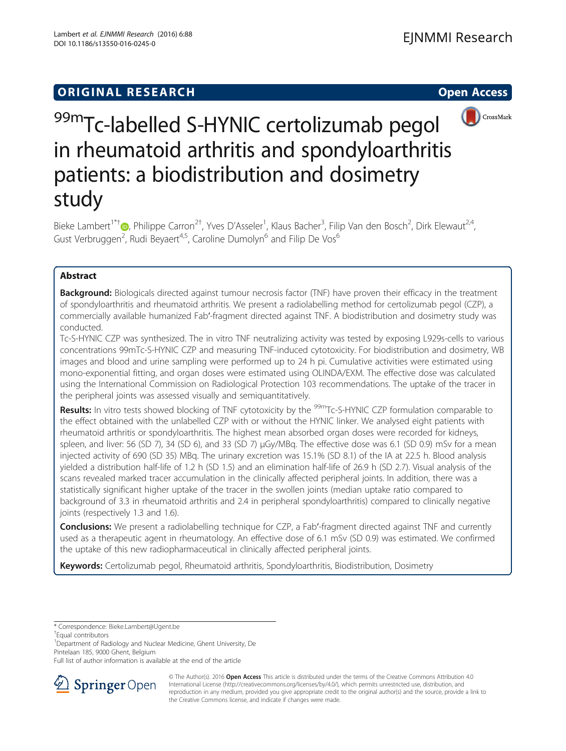

# 99mTc-labelled S-HYNIC certolizumab pegol in rheumatoid arthritis and spondyloarthritis patients: a biodistribution and dosimetry study

Bieke Lambert<sup>1\*†</sup> D[,](http://orcid.org/0000-0002-5674-0222) Philippe Carron<sup>2†</sup>, Yves D'Asseler<sup>1</sup>, Klaus Bacher<sup>3</sup>, Filip Van den Bosch<sup>2</sup>, Dirk Elewaut<sup>2,4</sup>, Gust Verbruggen<sup>2</sup>, Rudi Beyaert<sup>4,5</sup>, Caroline Dumolyn<sup>6</sup> and Filip De Vos<sup>6</sup>

# Abstract

Background: Biologicals directed against tumour necrosis factor (TNF) have proven their efficacy in the treatment of spondyloarthritis and rheumatoid arthritis. We present a radiolabelling method for certolizumab pegol (CZP), a commercially available humanized Fab′-fragment directed against TNF. A biodistribution and dosimetry study was conducted.

Tc-S-HYNIC CZP was synthesized. The in vitro TNF neutralizing activity was tested by exposing L929s-cells to various concentrations 99mTc-S-HYNIC CZP and measuring TNF-induced cytotoxicity. For biodistribution and dosimetry, WB images and blood and urine sampling were performed up to 24 h pi. Cumulative activities were estimated using mono-exponential fitting, and organ doses were estimated using OLINDA/EXM. The effective dose was calculated using the International Commission on Radiological Protection 103 recommendations. The uptake of the tracer in the peripheral joints was assessed visually and semiquantitatively.

Results: In vitro tests showed blocking of TNF cytotoxicity by the <sup>99m</sup>Tc-S-HYNIC CZP formulation comparable to the effect obtained with the unlabelled CZP with or without the HYNIC linker. We analysed eight patients with rheumatoid arthritis or spondyloarthritis. The highest mean absorbed organ doses were recorded for kidneys, spleen, and liver: 56 (SD 7), 34 (SD 6), and 33 (SD 7) μGy/MBq. The effective dose was 6.1 (SD 0.9) mSv for a mean injected activity of 690 (SD 35) MBq. The urinary excretion was 15.1% (SD 8.1) of the IA at 22.5 h. Blood analysis yielded a distribution half-life of 1.2 h (SD 1.5) and an elimination half-life of 26.9 h (SD 2.7). Visual analysis of the scans revealed marked tracer accumulation in the clinically affected peripheral joints. In addition, there was a statistically significant higher uptake of the tracer in the swollen joints (median uptake ratio compared to background of 3.3 in rheumatoid arthritis and 2.4 in peripheral spondyloarthritis) compared to clinically negative joints (respectively 1.3 and 1.6).

Conclusions: We present a radiolabelling technique for CZP, a Fab'-fragment directed against TNF and currently used as a therapeutic agent in rheumatology. An effective dose of 6.1 mSv (SD 0.9) was estimated. We confirmed the uptake of this new radiopharmaceutical in clinically affected peripheral joints.

Keywords: Certolizumab pegol, Rheumatoid arthritis, Spondyloarthritis, Biodistribution, Dosimetry

\* Correspondence: [Bieke.Lambert@Ugent.be](mailto:Bieke.Lambert@Ugent.be) †

Equal contributors

<sup>1</sup> Department of Radiology and Nuclear Medicine, Ghent University, De Pintelaan 185, 9000 Ghent, Belgium

Full list of author information is available at the end of the article



<sup>©</sup> The Author(s). 2016 Open Access This article is distributed under the terms of the Creative Commons Attribution 4.0 International License ([http://creativecommons.org/licenses/by/4.0/\)](http://creativecommons.org/licenses/by/4.0/), which permits unrestricted use, distribution, and reproduction in any medium, provided you give appropriate credit to the original author(s) and the source, provide a link to the Creative Commons license, and indicate if changes were made.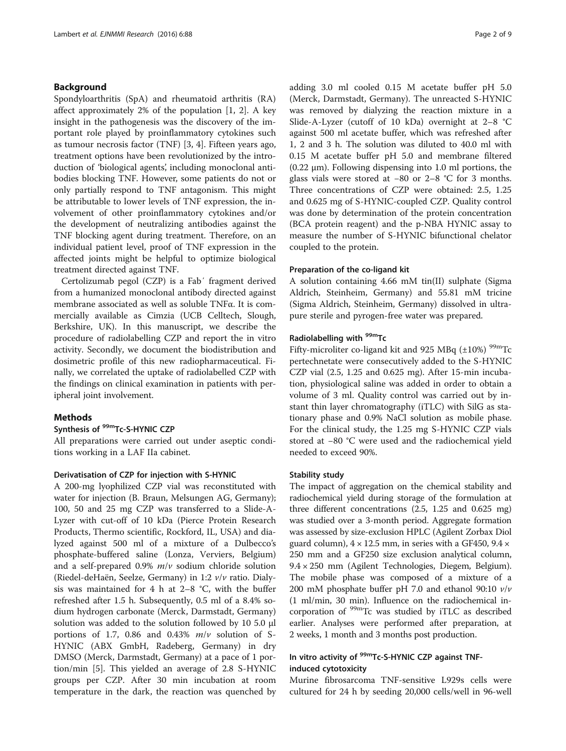# Background

Spondyloarthritis (SpA) and rheumatoid arthritis (RA) affect approximately 2% of the population [[1, 2\]](#page-7-0). A key insight in the pathogenesis was the discovery of the important role played by proinflammatory cytokines such as tumour necrosis factor (TNF) [\[3](#page-7-0), [4](#page-7-0)]. Fifteen years ago, treatment options have been revolutionized by the introduction of 'biological agents', including monoclonal antibodies blocking TNF. However, some patients do not or only partially respond to TNF antagonism. This might be attributable to lower levels of TNF expression, the involvement of other proinflammatory cytokines and/or the development of neutralizing antibodies against the TNF blocking agent during treatment. Therefore, on an individual patient level, proof of TNF expression in the affected joints might be helpful to optimize biological treatment directed against TNF.

Certolizumab pegol (CZP) is a Fab′ fragment derived from a humanized monoclonal antibody directed against membrane associated as well as soluble TNFα. It is commercially available as Cimzia (UCB Celltech, Slough, Berkshire, UK). In this manuscript, we describe the procedure of radiolabelling CZP and report the in vitro activity. Secondly, we document the biodistribution and dosimetric profile of this new radiopharmaceutical. Finally, we correlated the uptake of radiolabelled CZP with the findings on clinical examination in patients with peripheral joint involvement.

# Methods

# Synthesis of <sup>99m</sup>Tc-S-HYNIC CZP

All preparations were carried out under aseptic conditions working in a LAF IIa cabinet.

# Derivatisation of CZP for injection with S-HYNIC

A 200-mg lyophilized CZP vial was reconstituted with water for injection (B. Braun, Melsungen AG, Germany); 100, 50 and 25 mg CZP was transferred to a Slide-A-Lyzer with cut-off of 10 kDa (Pierce Protein Research Products, Thermo scientific, Rockford, IL, USA) and dialyzed against 500 ml of a mixture of a Dulbecco's phosphate-buffered saline (Lonza, Verviers, Belgium) and a self-prepared 0.9%  $m/v$  sodium chloride solution (Riedel-deHaën, Seelze, Germany) in 1:2 v/v ratio. Dialysis was maintained for 4 h at 2–8  $°C$ , with the buffer refreshed after 1.5 h. Subsequently, 0.5 ml of a 8.4% sodium hydrogen carbonate (Merck, Darmstadt, Germany) solution was added to the solution followed by 10 5.0 μl portions of 1.7, 0.86 and 0.43%  $m/v$  solution of S-HYNIC (ABX GmbH, Radeberg, Germany) in dry DMSO (Merck, Darmstadt, Germany) at a pace of 1 portion/min [[5](#page-7-0)]. This yielded an average of 2.8 S-HYNIC groups per CZP. After 30 min incubation at room temperature in the dark, the reaction was quenched by adding 3.0 ml cooled 0.15 M acetate buffer pH 5.0 (Merck, Darmstadt, Germany). The unreacted S-HYNIC was removed by dialyzing the reaction mixture in a Slide-A-Lyzer (cutoff of 10 kDa) overnight at 2–8 °C against 500 ml acetate buffer, which was refreshed after 1, 2 and 3 h. The solution was diluted to 40.0 ml with 0.15 M acetate buffer pH 5.0 and membrane filtered (0.22 μm). Following dispensing into 1.0 ml portions, the glass vials were stored at −80 or 2–8 °C for 3 months. Three concentrations of CZP were obtained: 2.5, 1.25 and 0.625 mg of S-HYNIC-coupled CZP. Quality control was done by determination of the protein concentration (BCA protein reagent) and the p-NBA HYNIC assay to measure the number of S-HYNIC bifunctional chelator coupled to the protein.

# Preparation of the co-ligand kit

A solution containing 4.66 mM tin(II) sulphate (Sigma Aldrich, Steinheim, Germany) and 55.81 mM tricine (Sigma Aldrich, Steinheim, Germany) dissolved in ultrapure sterile and pyrogen-free water was prepared.

# Radiolabelling with <sup>99m</sup>Tc

Fifty-microliter co-ligand kit and 925 MBq  $(\pm 10\%)$ <sup>99m</sup>Tc pertechnetate were consecutively added to the S-HYNIC CZP vial (2.5, 1.25 and 0.625 mg). After 15-min incubation, physiological saline was added in order to obtain a volume of 3 ml. Quality control was carried out by instant thin layer chromatography (iTLC) with SilG as stationary phase and 0.9% NaCl solution as mobile phase. For the clinical study, the 1.25 mg S-HYNIC CZP vials stored at −80 °C were used and the radiochemical yield needed to exceed 90%.

# Stability study

The impact of aggregation on the chemical stability and radiochemical yield during storage of the formulation at three different concentrations (2.5, 1.25 and 0.625 mg) was studied over a 3-month period. Aggregate formation was assessed by size-exclusion HPLC (Agilent Zorbax Diol guard column),  $4 \times 12.5$  mm, in series with a GF450,  $9.4 \times$ 250 mm and a GF250 size exclusion analytical column, 9.4 × 250 mm (Agilent Technologies, Diegem, Belgium). The mobile phase was composed of a mixture of a 200 mM phosphate buffer pH 7.0 and ethanol 90:10  $v/v$ (1 ml/min, 30 min). Influence on the radiochemical incorporation of 99mTc was studied by iTLC as described earlier. Analyses were performed after preparation, at 2 weeks, 1 month and 3 months post production.

# In vitro activity of <sup>99m</sup>Tc-S-HYNIC CZP against TNFinduced cytotoxicity

Murine fibrosarcoma TNF-sensitive L929s cells were cultured for 24 h by seeding 20,000 cells/well in 96-well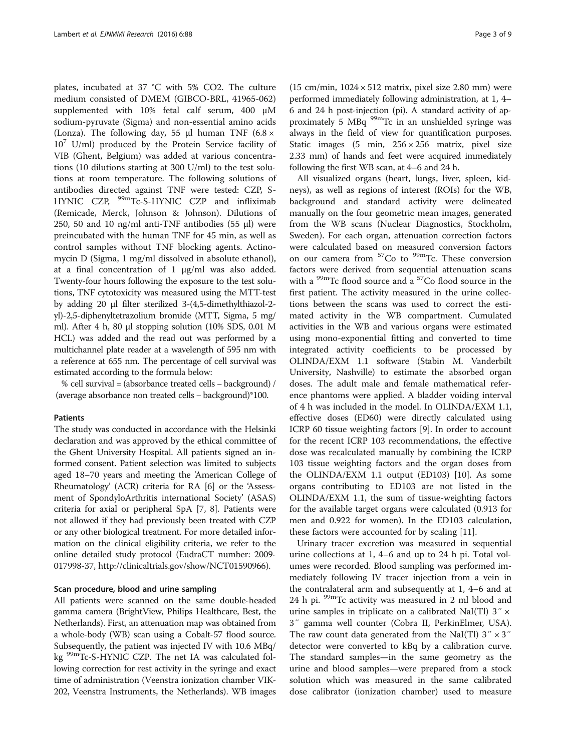plates, incubated at 37 °C with 5% CO2. The culture medium consisted of DMEM (GIBCO-BRL, 41965-062) supplemented with 10% fetal calf serum, 400 μM sodium-pyruvate (Sigma) and non-essential amino acids (Lonza). The following day, 55 μl human TNF (6.8  $\times$  $10^7$  U/ml) produced by the Protein Service facility of VIB (Ghent, Belgium) was added at various concentrations (10 dilutions starting at 300 U/ml) to the test solutions at room temperature. The following solutions of antibodies directed against TNF were tested: CZP, S-HYNIC CZP, <sup>99m</sup>Tc-S-HYNIC CZP and infliximab (Remicade, Merck, Johnson & Johnson). Dilutions of 250, 50 and 10 ng/ml anti-TNF antibodies  $(55 \text{ µ})$  were preincubated with the human TNF for 45 min, as well as control samples without TNF blocking agents. Actinomycin D (Sigma, 1 mg/ml dissolved in absolute ethanol), at a final concentration of 1 μg/ml was also added. Twenty-four hours following the exposure to the test solutions, TNF cytotoxicity was measured using the MTT-test by adding 20 μl filter sterilized 3-(4,5-dimethylthiazol-2 yl)-2,5-diphenyltetrazolium bromide (MTT, Sigma, 5 mg/ ml). After 4 h, 80 μl stopping solution (10% SDS, 0.01 M HCL) was added and the read out was performed by a multichannel plate reader at a wavelength of 595 nm with a reference at 655 nm. The percentage of cell survival was estimated according to the formula below:

% cell survival = (absorbance treated cells − background) / (average absorbance non treated cells − background)\*100.

## **Patients**

The study was conducted in accordance with the Helsinki declaration and was approved by the ethical committee of the Ghent University Hospital. All patients signed an informed consent. Patient selection was limited to subjects aged 18–70 years and meeting the 'American College of Rheumatology' (ACR) criteria for RA [\[6](#page-7-0)] or the 'Assessment of SpondyloArthritis international Society' (ASAS) criteria for axial or peripheral SpA [[7, 8\]](#page-7-0). Patients were not allowed if they had previously been treated with CZP or any other biological treatment. For more detailed information on the clinical eligibility criteria, we refer to the online detailed study protocol (EudraCT number: 2009- 017998-37, [http://clinicaltrials.gov/show/NCT01590966\)](http://clinicaltrials.gov/show/NCT01590966).

## Scan procedure, blood and urine sampling

All patients were scanned on the same double-headed gamma camera (BrightView, Philips Healthcare, Best, the Netherlands). First, an attenuation map was obtained from a whole-body (WB) scan using a Cobalt-57 flood source. Subsequently, the patient was injected IV with 10.6 MBq/ kg<sup>99m</sup>Tc-S-HYNIC CZP. The net IA was calculated following correction for rest activity in the syringe and exact time of administration (Veenstra ionization chamber VIK-202, Veenstra Instruments, the Netherlands). WB images

(15 cm/min,  $1024 \times 512$  matrix, pixel size 2.80 mm) were performed immediately following administration, at 1, 4– 6 and 24 h post-injection (pi). A standard activity of approximately 5 MBq <sup>99m</sup>Tc in an unshielded syringe was always in the field of view for quantification purposes. Static images (5 min,  $256 \times 256$  matrix, pixel size 2.33 mm) of hands and feet were acquired immediately following the first WB scan, at 4–6 and 24 h.

All visualized organs (heart, lungs, liver, spleen, kidneys), as well as regions of interest (ROIs) for the WB, background and standard activity were delineated manually on the four geometric mean images, generated from the WB scans (Nuclear Diagnostics, Stockholm, Sweden). For each organ, attenuation correction factors were calculated based on measured conversion factors on our camera from  $57$ Co to  $99$ mTc. These conversion factors were derived from sequential attenuation scans with a  $\frac{99 \text{m}}{2}$ Tc flood source and a  $\frac{57 \text{Co}}{2}$  flood source in the first patient. The activity measured in the urine collections between the scans was used to correct the estimated activity in the WB compartment. Cumulated activities in the WB and various organs were estimated using mono-exponential fitting and converted to time integrated activity coefficients to be processed by OLINDA/EXM 1.1 software (Stabin M. Vanderbilt University, Nashville) to estimate the absorbed organ doses. The adult male and female mathematical reference phantoms were applied. A bladder voiding interval of 4 h was included in the model. In OLINDA/EXM 1.1, effective doses (ED60) were directly calculated using ICRP 60 tissue weighting factors [[9\]](#page-7-0). In order to account for the recent ICRP 103 recommendations, the effective dose was recalculated manually by combining the ICRP 103 tissue weighting factors and the organ doses from the OLINDA/EXM 1.1 output (ED103) [\[10](#page-8-0)]. As some organs contributing to ED103 are not listed in the OLINDA/EXM 1.1, the sum of tissue-weighting factors for the available target organs were calculated (0.913 for men and 0.922 for women). In the ED103 calculation, these factors were accounted for by scaling [\[11\]](#page-8-0).

Urinary tracer excretion was measured in sequential urine collections at 1, 4–6 and up to 24 h pi. Total volumes were recorded. Blood sampling was performed immediately following IV tracer injection from a vein in the contralateral arm and subsequently at 1, 4–6 and at 24 h pi. <sup>99m</sup>Tc activity was measured in 2 ml blood and urine samples in triplicate on a calibrated NaI(Tl)  $3'' \times$ 3″ gamma well counter (Cobra II, PerkinElmer, USA). The raw count data generated from the NaI(Tl)  $3'' \times 3''$ detector were converted to kBq by a calibration curve. The standard samples—in the same geometry as the urine and blood samples—were prepared from a stock solution which was measured in the same calibrated dose calibrator (ionization chamber) used to measure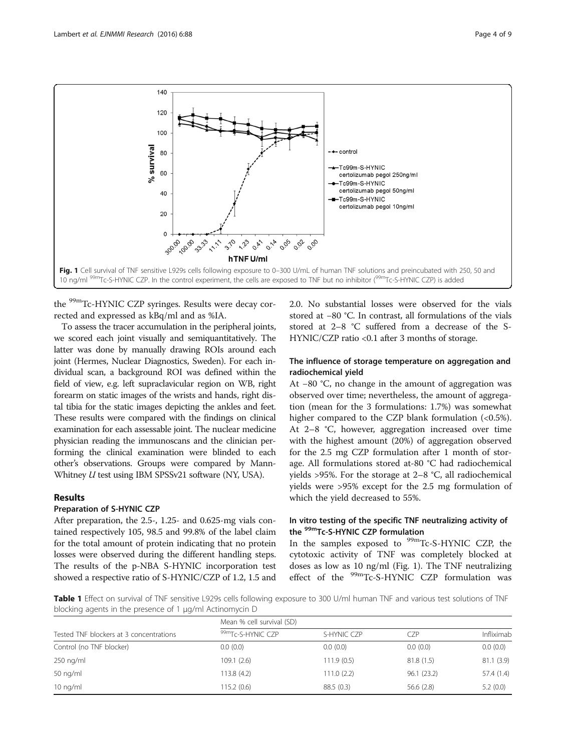<span id="page-3-0"></span>

the 99mTc-HYNIC CZP syringes. Results were decay corrected and expressed as kBq/ml and as %IA.

To assess the tracer accumulation in the peripheral joints, we scored each joint visually and semiquantitatively. The latter was done by manually drawing ROIs around each joint (Hermes, Nuclear Diagnostics, Sweden). For each individual scan, a background ROI was defined within the field of view, e.g. left supraclavicular region on WB, right forearm on static images of the wrists and hands, right distal tibia for the static images depicting the ankles and feet. These results were compared with the findings on clinical examination for each assessable joint. The nuclear medicine physician reading the immunoscans and the clinician performing the clinical examination were blinded to each other's observations. Groups were compared by Mann-Whitney U test using IBM SPSSv21 software (NY, USA).

# Results

# Preparation of S-HYNIC CZP

After preparation, the 2.5-, 1.25- and 0.625-mg vials contained respectively 105, 98.5 and 99.8% of the label claim for the total amount of protein indicating that no protein losses were observed during the different handling steps. The results of the p-NBA S-HYNIC incorporation test showed a respective ratio of S-HYNIC/CZP of 1.2, 1.5 and

2.0. No substantial losses were observed for the vials stored at −80 °C. In contrast, all formulations of the vials stored at 2–8 °C suffered from a decrease of the S-HYNIC/CZP ratio <0.1 after 3 months of storage.

# The influence of storage temperature on aggregation and radiochemical yield

At −80 °C, no change in the amount of aggregation was observed over time; nevertheless, the amount of aggregation (mean for the 3 formulations: 1.7%) was somewhat higher compared to the CZP blank formulation (<0.5%). At 2–8 °C, however, aggregation increased over time with the highest amount (20%) of aggregation observed for the 2.5 mg CZP formulation after 1 month of storage. All formulations stored at-80 °C had radiochemical yields >95%. For the storage at 2–8 °C, all radiochemical yields were >95% except for the 2.5 mg formulation of which the yield decreased to 55%.

# In vitro testing of the specific TNF neutralizing activity of the <sup>99m</sup>Tc-S-HYNIC CZP formulation

In the samples exposed to  $99mTc-S-HYNIC$  CZP, the cytotoxic activity of TNF was completely blocked at doses as low as 10 ng/ml (Fig. 1). The TNF neutralizing effect of the <sup>99m</sup>Tc-S-HYNIC CZP formulation was

Table 1 Effect on survival of TNF sensitive L929s cells following exposure to 300 U/ml human TNF and various test solutions of TNF blocking agents in the presence of 1 μg/ml Actinomycin D

| Tested TNF blockers at 3 concentrations | Mean % cell survival (SD) |             |            |            |  |
|-----------------------------------------|---------------------------|-------------|------------|------------|--|
|                                         | 99mTc-S-HYNIC CZP         | S-HYNIC CZP | C7P        | Infliximab |  |
| Control (no TNF blocker)                | 0.0(0.0)                  | 0.0(0.0)    | 0.0(0.0)   | 0.0(0.0)   |  |
| $250$ ng/ml                             | 109.1(2.6)                | 111.9(0.5)  | 81.8(1.5)  | 81.1(3.9)  |  |
| $50$ ng/ml                              | 113.8(4.2)                | 111.0(2.2)  | 96.1(23.2) | 57.4 (1.4) |  |
| $10$ ng/ml                              | 115.2 (0.6)               | 88.5(0.3)   | 56.6(2.8)  | 5.2(0.0)   |  |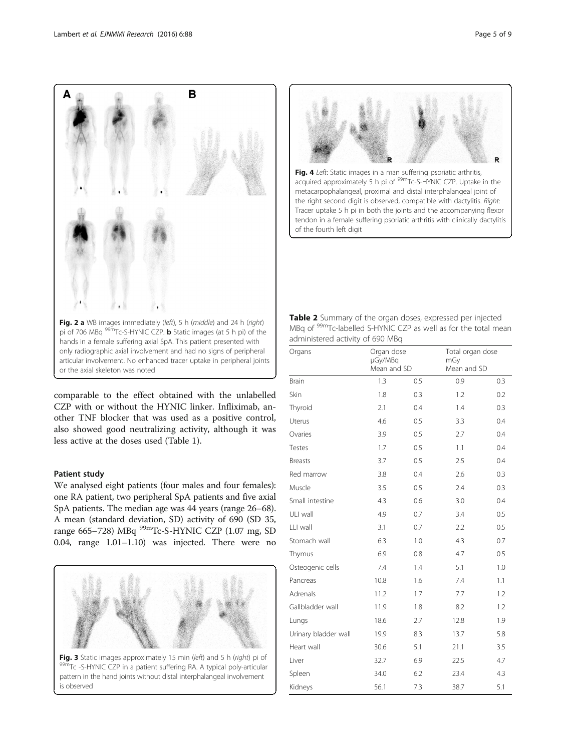<span id="page-4-0"></span>

comparable to the effect obtained with the unlabelled CZP with or without the HYNIC linker. Infliximab, another TNF blocker that was used as a positive control, also showed good neutralizing activity, although it was less active at the doses used (Table [1\)](#page-3-0).

## Patient study

or the axial skeleton was noted

We analysed eight patients (four males and four females): one RA patient, two peripheral SpA patients and five axial SpA patients. The median age was 44 years (range 26–68). A mean (standard deviation, SD) activity of 690 (SD 35, range 665–728) MBq 99mTc-S-HYNIC CZP (1.07 mg, SD 0.04, range 1.01–1.10) was injected. There were no



99mTc -S-HYNIC CZP in a patient suffering RA. A typical poly-articular pattern in the hand joints without distal interphalangeal involvement is observed





| Table 2 Summary of the organ doses, expressed per injected                  |  |
|-----------------------------------------------------------------------------|--|
| MBq of <sup>99m</sup> Tc-labelled S-HYNIC CZP as well as for the total mean |  |
| administered activity of 690 MBq                                            |  |

| Organs               | Organ dose<br>µGy/MBq<br>Mean and SD |     | Total organ dose<br>mGy<br>Mean and SD |     |
|----------------------|--------------------------------------|-----|----------------------------------------|-----|
| <b>Brain</b>         | 1.3                                  | 0.5 | 0.9                                    | 0.3 |
| Skin                 | 1.8                                  | 0.3 | 1.2                                    | 0.2 |
| Thyroid              | 2.1                                  | 0.4 | 1.4                                    | 0.3 |
| Uterus               | 4.6                                  | 0.5 | 3.3                                    | 0.4 |
| Ovaries              | 3.9                                  | 0.5 | 2.7                                    | 0.4 |
| Testes               | 1.7                                  | 0.5 | 1.1                                    | 0.4 |
| <b>Breasts</b>       | 3.7                                  | 0.5 | 2.5                                    | 0.4 |
| Red marrow           | 3.8                                  | 0.4 | 2.6                                    | 0.3 |
| Muscle               | 3.5                                  | 0.5 | 2.4                                    | 0.3 |
| Small intestine      | 4.3                                  | 0.6 | 3.0                                    | 0.4 |
| ULI wall             | 4.9                                  | 0.7 | 3.4                                    | 0.5 |
| LLI wall             | 3.1                                  | 0.7 | 2.2                                    | 0.5 |
| Stomach wall         | 6.3                                  | 1.0 | 4.3                                    | 0.7 |
| Thymus               | 6.9                                  | 0.8 | 4.7                                    | 0.5 |
| Osteogenic cells     | 7.4                                  | 1.4 | 5.1                                    | 1.0 |
| Pancreas             | 10.8                                 | 1.6 | 7.4                                    | 1.1 |
| Adrenals             | 11.2                                 | 1.7 | 7.7                                    | 1.2 |
| Gallbladder wall     | 11.9                                 | 1.8 | 8.2                                    | 1.2 |
| Lungs                | 18.6                                 | 2.7 | 12.8                                   | 1.9 |
| Urinary bladder wall | 19.9                                 | 8.3 | 13.7                                   | 5.8 |
| Heart wall           | 30.6                                 | 5.1 | 21.1                                   | 3.5 |
| Liver                | 32.7                                 | 6.9 | 22.5                                   | 4.7 |
| Spleen               | 34.0                                 | 6.2 | 23.4                                   | 4.3 |
| Kidneys              | 56.1                                 | 7.3 | 38.7                                   | 5.1 |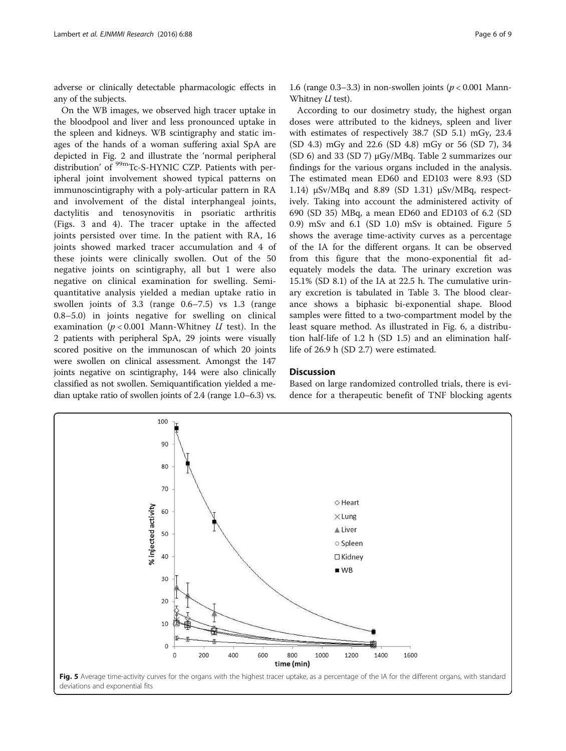adverse or clinically detectable pharmacologic effects in any of the subjects.

On the WB images, we observed high tracer uptake in the bloodpool and liver and less pronounced uptake in the spleen and kidneys. WB scintigraphy and static images of the hands of a woman suffering axial SpA are depicted in Fig. [2](#page-4-0) and illustrate the 'normal peripheral distribution' of <sup>99m</sup>Tc-S-HYNIC CZP. Patients with peripheral joint involvement showed typical patterns on immunoscintigraphy with a poly-articular pattern in RA and involvement of the distal interphangeal joints, dactylitis and tenosynovitis in psoriatic arthritis (Figs. [3](#page-4-0) and [4\)](#page-4-0). The tracer uptake in the affected joints persisted over time. In the patient with RA, 16 joints showed marked tracer accumulation and 4 of these joints were clinically swollen. Out of the 50 negative joints on scintigraphy, all but 1 were also negative on clinical examination for swelling. Semiquantitative analysis yielded a median uptake ratio in swollen joints of 3.3 (range 0.6–7.5) vs 1.3 (range 0.8–5.0) in joints negative for swelling on clinical examination ( $p < 0.001$  Mann-Whitney *U* test). In the 2 patients with peripheral SpA, 29 joints were visually scored positive on the immunoscan of which 20 joints were swollen on clinical assessment. Amongst the 147 joints negative on scintigraphy, 144 were also clinically classified as not swollen. Semiquantification yielded a median uptake ratio of swollen joints of 2.4 (range 1.0–6.3) vs. 1.6 (range 0.3–3.3) in non-swollen joints ( $p < 0.001$  Mann-Whitney *U* test).

According to our dosimetry study, the highest organ doses were attributed to the kidneys, spleen and liver with estimates of respectively 38.7 (SD 5.1) mGy, 23.4 (SD 4.3) mGy and 22.6 (SD 4.8) mGy or 56 (SD 7), 34 (SD 6) and 33 (SD 7) μGy/MBq. Table [2](#page-4-0) summarizes our findings for the various organs included in the analysis. The estimated mean ED60 and ED103 were 8.93 (SD 1.14) μSv/MBq and 8.89 (SD 1.31) μSv/MBq, respectively. Taking into account the administered activity of 690 (SD 35) MBq, a mean ED60 and ED103 of 6.2 (SD 0.9) mSv and 6.1 (SD 1.0) mSv is obtained. Figure 5 shows the average time-activity curves as a percentage of the IA for the different organs. It can be observed from this figure that the mono-exponential fit adequately models the data. The urinary excretion was 15.1% (SD 8.1) of the IA at 22.5 h. The cumulative urinary excretion is tabulated in Table [3.](#page-6-0) The blood clearance shows a biphasic bi-exponential shape. Blood samples were fitted to a two-compartment model by the least square method. As illustrated in Fig. [6](#page-6-0), a distribution half-life of 1.2 h (SD 1.5) and an elimination halflife of 26.9 h (SD 2.7) were estimated.

## **Discussion**

Based on large randomized controlled trials, there is evidence for a therapeutic benefit of TNF blocking agents

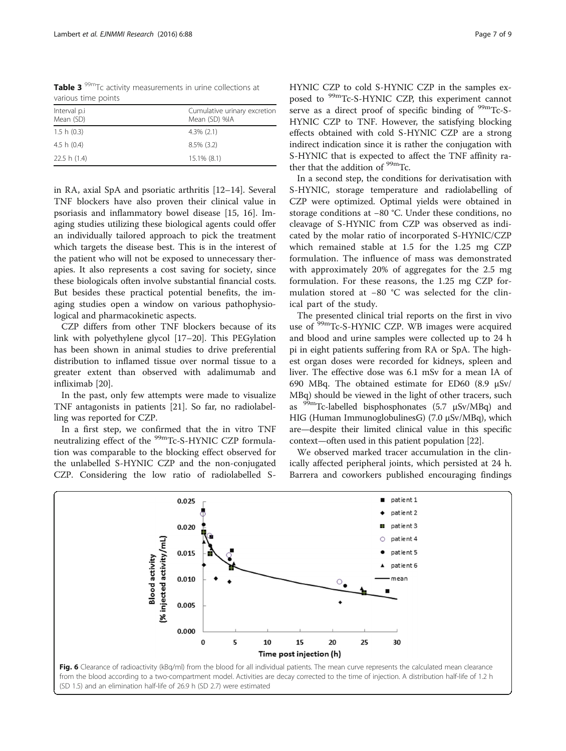<span id="page-6-0"></span>Table 3<sup>99m</sup>Tc activity measurements in urine collections at various time points

| Interval p.i<br>Mean (SD) | Cumulative urinary excretion<br>Mean (SD) %IA |
|---------------------------|-----------------------------------------------|
| 1.5 h(0.3)                | $4.3\%$ $(2.1)$                               |
| 4.5 h $(0.4)$             | $8.5\%$ (3.2)                                 |
| 22.5 h $(1.4)$            | $15.1\%$ (8.1)                                |

in RA, axial SpA and psoriatic arthritis [\[12](#page-8-0)–[14\]](#page-8-0). Several TNF blockers have also proven their clinical value in psoriasis and inflammatory bowel disease [[15](#page-8-0), [16\]](#page-8-0). Imaging studies utilizing these biological agents could offer an individually tailored approach to pick the treatment which targets the disease best. This is in the interest of the patient who will not be exposed to unnecessary therapies. It also represents a cost saving for society, since these biologicals often involve substantial financial costs. But besides these practical potential benefits, the imaging studies open a window on various pathophysiological and pharmacokinetic aspects.

CZP differs from other TNF blockers because of its link with polyethylene glycol [[17](#page-8-0)–[20](#page-8-0)]. This PEGylation has been shown in animal studies to drive preferential distribution to inflamed tissue over normal tissue to a greater extent than observed with adalimumab and infliximab [[20\]](#page-8-0).

In the past, only few attempts were made to visualize TNF antagonists in patients [[21\]](#page-8-0). So far, no radiolabelling was reported for CZP.

In a first step, we confirmed that the in vitro TNF neutralizing effect of the <sup>99m</sup>Tc-S-HYNIC CZP formulation was comparable to the blocking effect observed for the unlabelled S-HYNIC CZP and the non-conjugated CZP. Considering the low ratio of radiolabelled S-

HYNIC CZP to cold S-HYNIC CZP in the samples exposed to 99mTc-S-HYNIC CZP, this experiment cannot serve as a direct proof of specific binding of  $99 \text{m}$ Tc-S-HYNIC CZP to TNF. However, the satisfying blocking effects obtained with cold S-HYNIC CZP are a strong indirect indication since it is rather the conjugation with S-HYNIC that is expected to affect the TNF affinity rather that the addition of <sup>99m</sup>Tc.

In a second step, the conditions for derivatisation with S-HYNIC, storage temperature and radiolabelling of CZP were optimized. Optimal yields were obtained in storage conditions at −80 °C. Under these conditions, no cleavage of S-HYNIC from CZP was observed as indicated by the molar ratio of incorporated S-HYNIC/CZP which remained stable at 1.5 for the 1.25 mg CZP formulation. The influence of mass was demonstrated with approximately 20% of aggregates for the 2.5 mg formulation. For these reasons, the 1.25 mg CZP formulation stored at −80 °C was selected for the clinical part of the study.

The presented clinical trial reports on the first in vivo use of <sup>99m</sup>Tc-S-HYNIC CZP. WB images were acquired and blood and urine samples were collected up to 24 h pi in eight patients suffering from RA or SpA. The highest organ doses were recorded for kidneys, spleen and liver. The effective dose was 6.1 mSv for a mean IA of 690 MBq. The obtained estimate for ED60 (8.9 μSv/ MBq) should be viewed in the light of other tracers, such as  $^{99m}$ Tc-labelled bisphosphonates (5.7  $\mu$ Sv/MBq) and HIG (Human ImmunoglobulinesG) (7.0 μSv/MBq), which are—despite their limited clinical value in this specific context—often used in this patient population [\[22](#page-8-0)].

We observed marked tracer accumulation in the clinically affected peripheral joints, which persisted at 24 h. Barrera and coworkers published encouraging findings

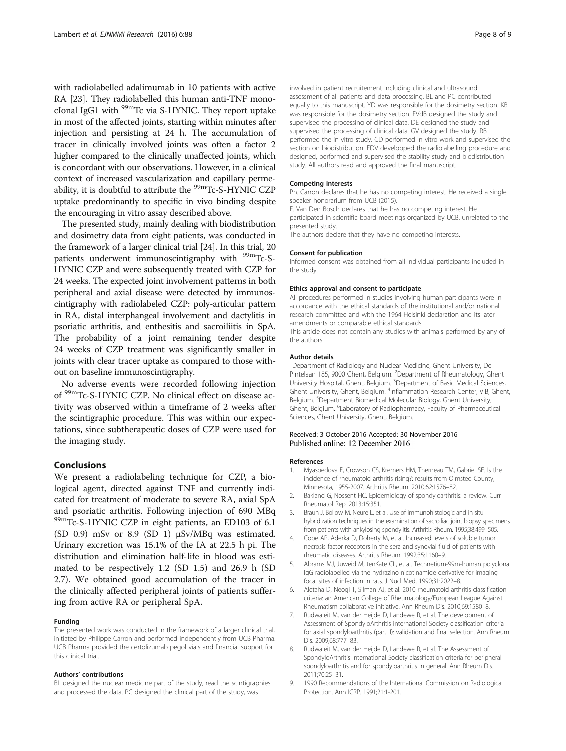<span id="page-7-0"></span>with radiolabelled adalimumab in 10 patients with active RA [[23\]](#page-8-0). They radiolabelled this human anti-TNF monocIonal IgG1 with <sup>99m</sup>Tc via S-HYNIC. They report uptake in most of the affected joints, starting within minutes after injection and persisting at 24 h. The accumulation of tracer in clinically involved joints was often a factor 2 higher compared to the clinically unaffected joints, which is concordant with our observations. However, in a clinical context of increased vascularization and capillary permeability, it is doubtful to attribute the <sup>99m</sup>Tc-S-HYNIC CZP uptake predominantly to specific in vivo binding despite the encouraging in vitro assay described above.

The presented study, mainly dealing with biodistribution and dosimetry data from eight patients, was conducted in the framework of a larger clinical trial [\[24\]](#page-8-0). In this trial, 20 patients underwent immunoscintigraphy with <sup>99m</sup>Tc-S-HYNIC CZP and were subsequently treated with CZP for 24 weeks. The expected joint involvement patterns in both peripheral and axial disease were detected by immunoscintigraphy with radiolabeled CZP: poly-articular pattern in RA, distal interphangeal involvement and dactylitis in psoriatic arthritis, and enthesitis and sacroiliitis in SpA. The probability of a joint remaining tender despite 24 weeks of CZP treatment was significantly smaller in joints with clear tracer uptake as compared to those without on baseline immunoscintigraphy.

No adverse events were recorded following injection of 99mTc-S-HYNIC CZP. No clinical effect on disease activity was observed within a timeframe of 2 weeks after the scintigraphic procedure. This was within our expectations, since subtherapeutic doses of CZP were used for the imaging study.

## Conclusions

We present a radiolabeling technique for CZP, a biological agent, directed against TNF and currently indicated for treatment of moderate to severe RA, axial SpA and psoriatic arthritis. Following injection of 690 MBq 99mTc-S-HYNIC CZP in eight patients, an ED103 of 6.1 (SD 0.9) mSv or 8.9 (SD 1) μSv/MBq was estimated. Urinary excretion was 15.1% of the IA at 22.5 h pi. The distribution and elimination half-life in blood was estimated to be respectively 1.2 (SD 1.5) and 26.9 h (SD 2.7). We obtained good accumulation of the tracer in the clinically affected peripheral joints of patients suffering from active RA or peripheral SpA.

#### Funding

The presented work was conducted in the framework of a larger clinical trial, initiated by Philippe Carron and performed independently from UCB Pharma. UCB Pharma provided the certolizumab pegol vials and financial support for this clinical trial.

#### Authors' contributions

BL designed the nuclear medicine part of the study, read the scintigraphies and processed the data. PC designed the clinical part of the study, was

involved in patient recruitement including clinical and ultrasound assessment of all patients and data processing. BL and PC contributed equally to this manuscript. YD was responsible for the dosimetry section. KB was responsible for the dosimetry section. FVdB designed the study and supervised the processing of clinical data. DE designed the study and supervised the processing of clinical data. GV designed the study. RB performed the in vitro study. CD performed in vitro work and supervised the section on biodistribution. FDV developped the radiolabelling procedure and designed, performed and supervised the stability study and biodistribution study. All authors read and approved the final manuscript.

#### Competing interests

Ph. Carron declares that he has no competing interest. He received a single speaker honorarium from UCB (2015).

F. Van Den Bosch declares that he has no competing interest. He participated in scientific board meetings organized by UCB, unrelated to the presented study.

The authors declare that they have no competing interests.

#### Consent for publication

Informed consent was obtained from all individual participants included in the study.

## Ethics approval and consent to participate

All procedures performed in studies involving human participants were in accordance with the ethical standards of the institutional and/or national research committee and with the 1964 Helsinki declaration and its later amendments or comparable ethical standards. This article does not contain any studies with animals performed by any of the authors.

## Author details

<sup>1</sup>Department of Radiology and Nuclear Medicine, Ghent University, De Pintelaan 185, 9000 Ghent, Belgium. <sup>2</sup>Department of Rheumatology, Ghent University Hospital, Ghent, Belgium. <sup>3</sup>Department of Basic Medical Sciences Ghent University, Ghent, Belgium. <sup>4</sup>Inflammation Research Center, VIB, Ghent, Belgium. <sup>5</sup>Department Biomedical Molecular Biology, Ghent University Ghent, Belgium. <sup>6</sup> Laboratory of Radiopharmacy, Faculty of Pharmaceutical Sciences, Ghent University, Ghent, Belgium.

## Received: 3 October 2016 Accepted: 30 November 2016 Published online: 12 December 2016

#### References

- 1. Myasoedova E, Crowson CS, Kremers HM, Therneau TM, Gabriel SE. Is the incidence of rheumatoid arthritis rising?: results from Olmsted County, Minnesota, 1955-2007. Arthritis Rheum. 2010;62:1576–82.
- 2. Bakland G, Nossent HC. Epidemiology of spondyloarthritis: a review. Curr Rheumatol Rep. 2013;15:351.
- 3. Braun J, Bollow M, Neure L, et al. Use of immunohistologic and in situ hybridization techniques in the examination of sacroiliac joint biopsy specimens from patients with ankylosing spondylitis. Arthritis Rheum. 1995;38:499–505.
- Cope AP, Aderka D, Doherty M, et al. Increased levels of soluble tumor necrosis factor receptors in the sera and synovial fluid of patients with rheumatic diseases. Arthritis Rheum. 1992;35:1160–9.
- 5. Abrams MJ, Juweid M, tenKate CL, et al. Technetium-99m-human polyclonal IgG radiolabelled via the hydrazino nicotinamide derivative for imaging focal sites of infection in rats. J Nucl Med. 1990;31:2022–8.
- 6. Aletaha D, Neogi T, Silman AJ, et al. 2010 rheumatoid arthritis classification criteria: an American College of Rheumatology/European League Against Rheumatism collaborative initiative. Ann Rheum Dis. 2010;69:1580–8.
- 7. Rudwaleit M, van der Heijde D, Landewe R, et al. The development of Assessment of SpondyloArthritis international Society classification criteria for axial spondyloarthritis (part II): validation and final selection. Ann Rheum Dis. 2009;68:777–83.
- 8. Rudwaleit M, van der Heijde D, Landewe R, et al. The Assessment of SpondyloArthritis International Society classification criteria for peripheral spondyloarthritis and for spondyloarthritis in general. Ann Rheum Dis. 2011;70:25–31.
- 9. 1990 Recommendations of the International Commission on Radiological Protection. Ann ICRP. 1991;21:1-201.